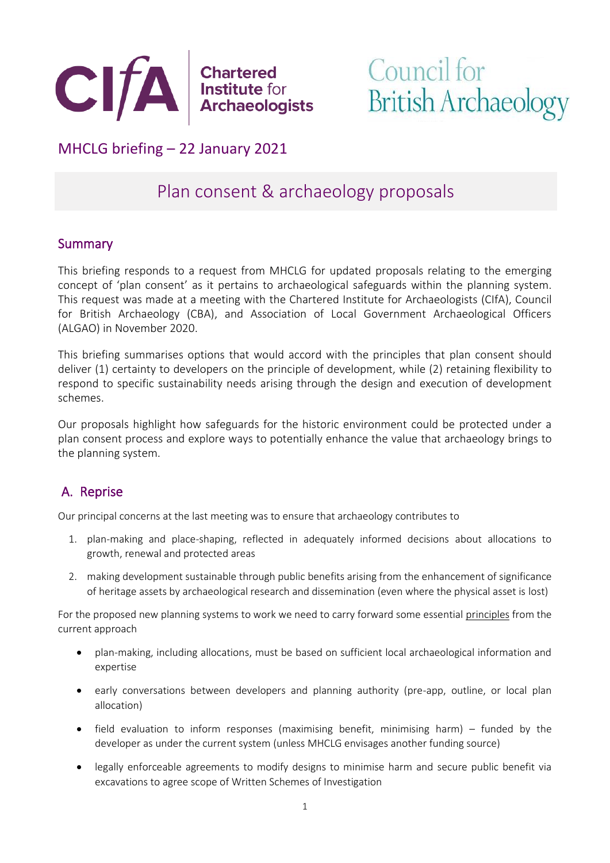

# Council for

## MHCLG briefing – 22 January 2021

## Plan consent & archaeology proposals

#### **Summary**

This briefing responds to a request from MHCLG for updated proposals relating to the emerging concept of 'plan consent' as it pertains to archaeological safeguards within the planning system. This request was made at a meeting with the Chartered Institute for Archaeologists (CIfA), Council for British Archaeology (CBA), and Association of Local Government Archaeological Officers (ALGAO) in November 2020.

This briefing summarises options that would accord with the principles that plan consent should deliver (1) certainty to developers on the principle of development, while (2) retaining flexibility to respond to specific sustainability needs arising through the design and execution of development schemes.

Our proposals highlight how safeguards for the historic environment could be protected under a plan consent process and explore ways to potentially enhance the value that archaeology brings to the planning system.

## A. Reprise

Our principal concerns at the last meeting was to ensure that archaeology contributes to

- 1. plan-making and place-shaping, reflected in adequately informed decisions about allocations to growth, renewal and protected areas
- 2. making development sustainable through public benefits arising from the enhancement of significance of heritage assets by archaeological research and dissemination (even where the physical asset is lost)

For the proposed new planning systems to work we need to carry forward some essential principles from the current approach

- plan-making, including allocations, must be based on sufficient local archaeological information and expertise
- early conversations between developers and planning authority (pre-app, outline, or local plan allocation)
- field evaluation to inform responses (maximising benefit, minimising harm) funded by the developer as under the current system (unless MHCLG envisages another funding source)
- legally enforceable agreements to modify designs to minimise harm and secure public benefit via excavations to agree scope of Written Schemes of Investigation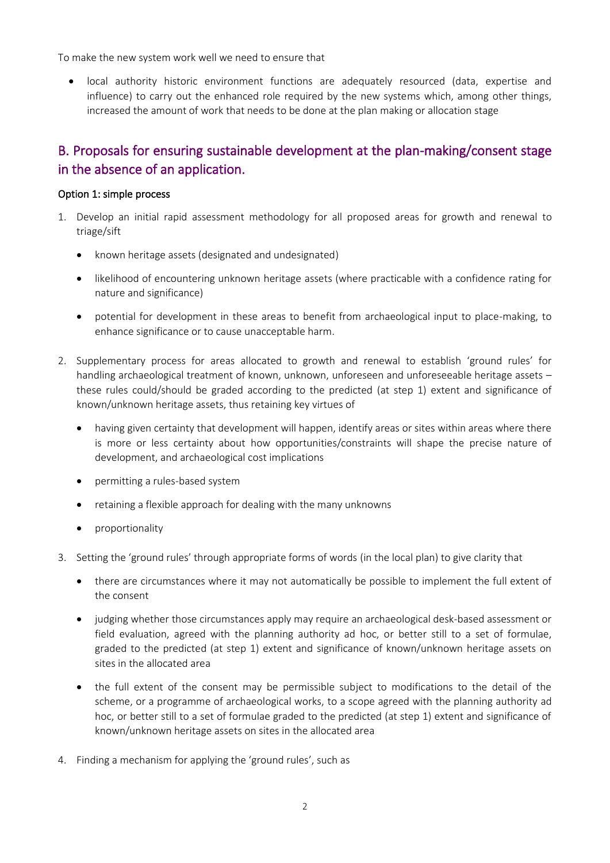To make the new system work well we need to ensure that

• local authority historic environment functions are adequately resourced (data, expertise and influence) to carry out the enhanced role required by the new systems which, among other things, increased the amount of work that needs to be done at the plan making or allocation stage

## B. Proposals for ensuring sustainable development at the plan-making/consent stage in the absence of an application.

#### Option 1: simple process

- 1. Develop an initial rapid assessment methodology for all proposed areas for growth and renewal to triage/sift
	- known heritage assets (designated and undesignated)
	- likelihood of encountering unknown heritage assets (where practicable with a confidence rating for nature and significance)
	- potential for development in these areas to benefit from archaeological input to place-making, to enhance significance or to cause unacceptable harm.
- 2. Supplementary process for areas allocated to growth and renewal to establish 'ground rules' for handling archaeological treatment of known, unknown, unforeseen and unforeseeable heritage assets these rules could/should be graded according to the predicted (at step 1) extent and significance of known/unknown heritage assets, thus retaining key virtues of
	- having given certainty that development will happen, identify areas or sites within areas where there is more or less certainty about how opportunities/constraints will shape the precise nature of development, and archaeological cost implications
	- permitting a rules-based system
	- retaining a flexible approach for dealing with the many unknowns
	- proportionality
- 3. Setting the 'ground rules' through appropriate forms of words (in the local plan) to give clarity that
	- there are circumstances where it may not automatically be possible to implement the full extent of the consent
	- judging whether those circumstances apply may require an archaeological desk-based assessment or field evaluation, agreed with the planning authority ad hoc, or better still to a set of formulae, graded to the predicted (at step 1) extent and significance of known/unknown heritage assets on sites in the allocated area
	- the full extent of the consent may be permissible subject to modifications to the detail of the scheme, or a programme of archaeological works, to a scope agreed with the planning authority ad hoc, or better still to a set of formulae graded to the predicted (at step 1) extent and significance of known/unknown heritage assets on sites in the allocated area
- 4. Finding a mechanism for applying the 'ground rules', such as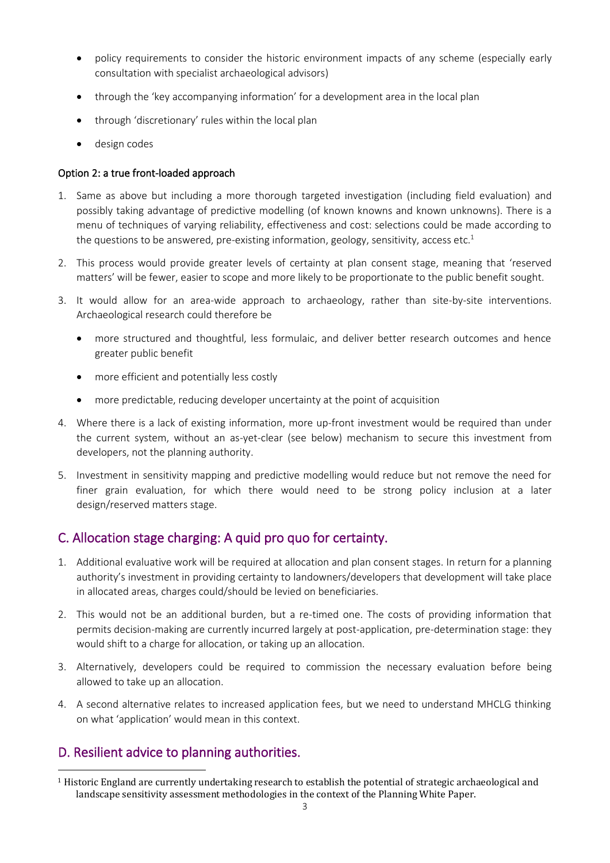- policy requirements to consider the historic environment impacts of any scheme (especially early consultation with specialist archaeological advisors)
- through the 'key accompanying information' for a development area in the local plan
- through 'discretionary' rules within the local plan
- design codes

#### Option 2: a true front-loaded approach

- 1. Same as above but including a more thorough targeted investigation (including field evaluation) and possibly taking advantage of predictive modelling (of known knowns and known unknowns). There is a menu of techniques of varying reliability, effectiveness and cost: selections could be made according to the questions to be answered, pre-existing information, geology, sensitivity, access etc. $1$
- 2. This process would provide greater levels of certainty at plan consent stage, meaning that 'reserved matters' will be fewer, easier to scope and more likely to be proportionate to the public benefit sought.
- 3. It would allow for an area-wide approach to archaeology, rather than site-by-site interventions. Archaeological research could therefore be
	- more structured and thoughtful, less formulaic, and deliver better research outcomes and hence greater public benefit
	- more efficient and potentially less costly
	- more predictable, reducing developer uncertainty at the point of acquisition
- 4. Where there is a lack of existing information, more up-front investment would be required than under the current system, without an as-yet-clear (see below) mechanism to secure this investment from developers, not the planning authority.
- 5. Investment in sensitivity mapping and predictive modelling would reduce but not remove the need for finer grain evaluation, for which there would need to be strong policy inclusion at a later design/reserved matters stage.

## C. Allocation stage charging: A quid pro quo for certainty.

- 1. Additional evaluative work will be required at allocation and plan consent stages. In return for a planning authority's investment in providing certainty to landowners/developers that development will take place in allocated areas, charges could/should be levied on beneficiaries.
- 2. This would not be an additional burden, but a re-timed one. The costs of providing information that permits decision-making are currently incurred largely at post-application, pre-determination stage: they would shift to a charge for allocation, or taking up an allocation.
- 3. Alternatively, developers could be required to commission the necessary evaluation before being allowed to take up an allocation.
- 4. A second alternative relates to increased application fees, but we need to understand MHCLG thinking on what 'application' would mean in this context.

## D. Resilient advice to planning authorities.

<sup>1</sup> Historic England are currently undertaking research to establish the potential of strategic archaeological and landscape sensitivity assessment methodologies in the context of the Planning White Paper.